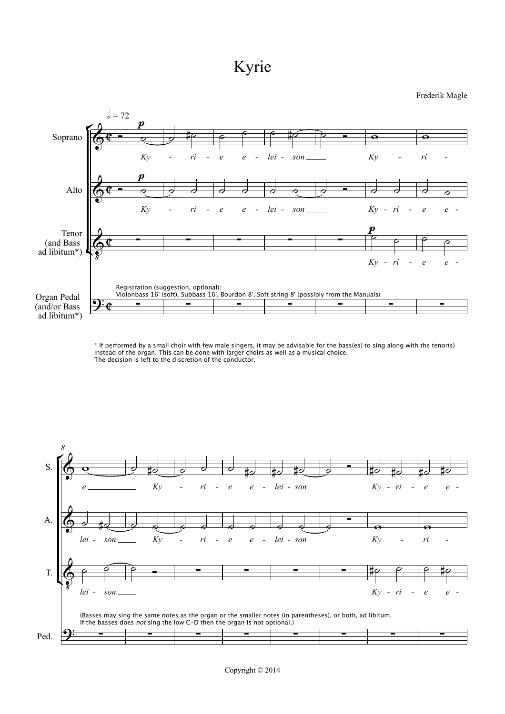## Kyrie

Frederik Magle



\* If performed by a small choir with few male singers, it may be advisable for the bass(es) to sing along with the tenor(s) instead of the organ. This can be done with larger choirs as well as a musical choice. The decision is left to the discretion of the conductor.

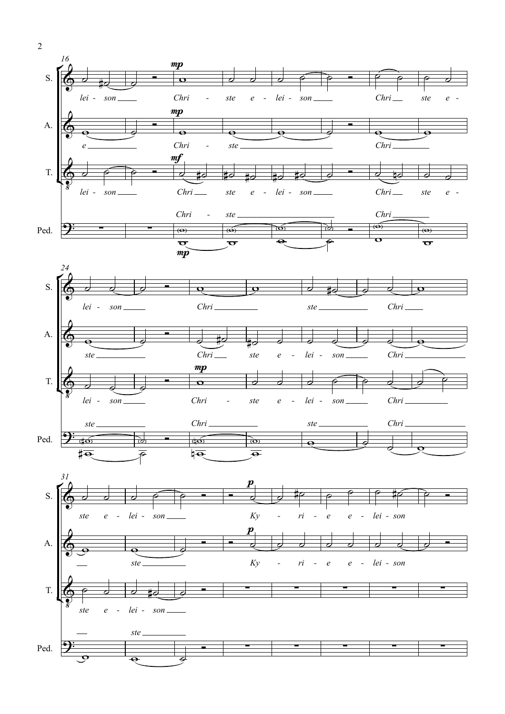